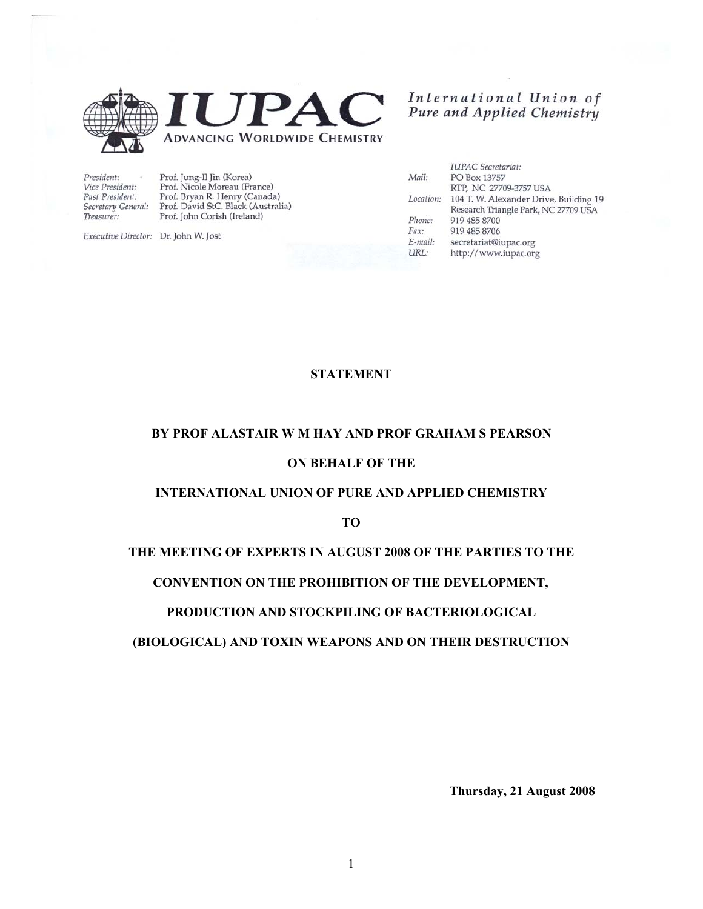

International Union of<br>Pure and Applied Chemistry

President: Vice President: Past President: Treasurer:

Prof. Jung-Il Jin (Korea)<br>Prof. Nicole Moreau (France) Prof. Bryan R. Henry (Canada) Secretary General: Prof. David StC. Black (Australia) Prof. John Corish (Ireland)

Executive Director: Dr. John W. Jost

|           | <b>IUPAC</b> Secretariat:              |
|-----------|----------------------------------------|
| Mail:     | PO Box 13757                           |
|           | RTP, NC 27709-3757 USA                 |
| Location: | 104 T. W. Alexander Drive, Building 19 |
|           | Research Triangle Park, NC 27709 USA   |
| Phone:    | 919 485 8700                           |
| $Fax$ :   | 919 485 8706                           |
| E-mail:   | secretariat@iupac.org                  |
| URL:      | http://www.iupac.org                   |
|           |                                        |

# **STATEMENT**

#### **BY PROF ALASTAIR W M HAY AND PROF GRAHAM S PEARSON**

# **ON BEHALF OF THE**

# **INTERNATIONAL UNION OF PURE AND APPLIED CHEMISTRY**

**TO** 

### **THE MEETING OF EXPERTS IN AUGUST 2008 OF THE PARTIES TO THE**

### **CONVENTION ON THE PROHIBITION OF THE DEVELOPMENT,**

### **PRODUCTION AND STOCKPILING OF BACTERIOLOGICAL**

### **(BIOLOGICAL) AND TOXIN WEAPONS AND ON THEIR DESTRUCTION**

**Thursday, 21 August 2008**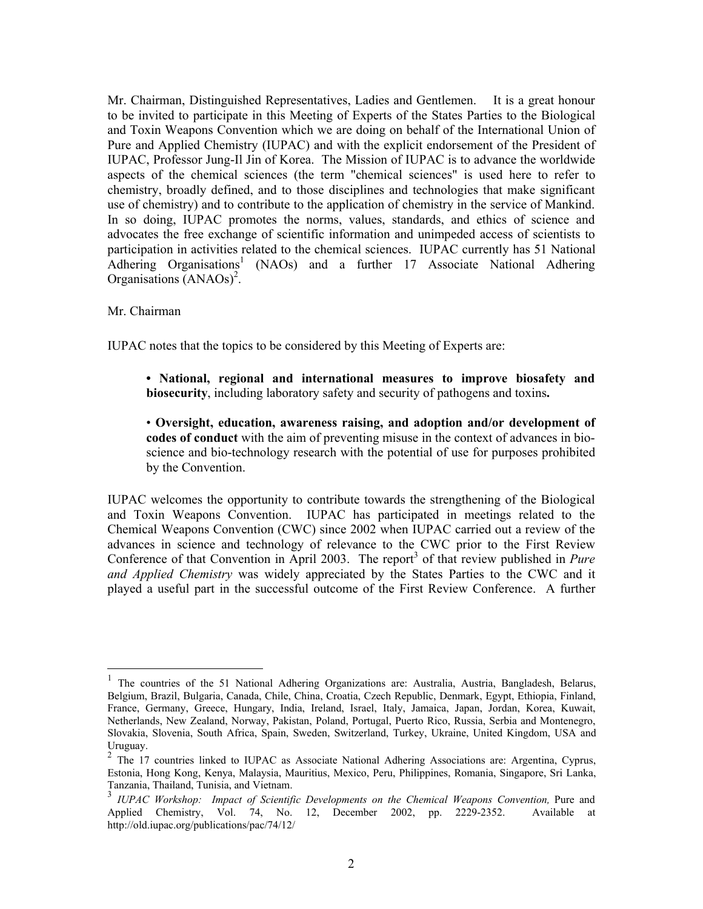Mr. Chairman, Distinguished Representatives, Ladies and Gentlemen. It is a great honour to be invited to participate in this Meeting of Experts of the States Parties to the Biological and Toxin Weapons Convention which we are doing on behalf of the International Union of Pure and Applied Chemistry (IUPAC) and with the explicit endorsement of the President of IUPAC, Professor Jung-Il Jin of Korea. The Mission of IUPAC is to advance the worldwide aspects of the chemical sciences (the term "chemical sciences" is used here to refer to chemistry, broadly defined, and to those disciplines and technologies that make significant use of chemistry) and to contribute to the application of chemistry in the service of Mankind. In so doing, IUPAC promotes the norms, values, standards, and ethics of science and advocates the free exchange of scientific information and unimpeded access of scientists to participation in activities related to the chemical sciences. IUPAC currently has 51 National Adhering Organisations<sup>1</sup> (NAOs) and a further 17 Associate National Adhering Organisations (ANAOs)<sup>2</sup>.

Mr. Chairman

 $\overline{a}$ 

IUPAC notes that the topics to be considered by this Meeting of Experts are:

**• National, regional and international measures to improve biosafety and biosecurity**, including laboratory safety and security of pathogens and toxins**.** 

• **Oversight, education, awareness raising, and adoption and/or development of codes of conduct** with the aim of preventing misuse in the context of advances in bioscience and bio-technology research with the potential of use for purposes prohibited by the Convention.

IUPAC welcomes the opportunity to contribute towards the strengthening of the Biological and Toxin Weapons Convention. IUPAC has participated in meetings related to the Chemical Weapons Convention (CWC) since 2002 when IUPAC carried out a review of the advances in science and technology of relevance to the CWC prior to the First Review Conference of that Convention in April 2003. The report<sup>3</sup> of that review published in *Pure and Applied Chemistry* was widely appreciated by the States Parties to the CWC and it played a useful part in the successful outcome of the First Review Conference. A further

<sup>&</sup>lt;sup>1</sup> The countries of the 51 National Adhering Organizations are: Australia, Austria, Bangladesh, Belarus, Belgium, Brazil, Bulgaria, Canada, Chile, China, Croatia, Czech Republic, Denmark, Egypt, Ethiopia, Finland, France, Germany, Greece, Hungary, India, Ireland, Israel, Italy, Jamaica, Japan, Jordan, Korea, Kuwait, Netherlands, New Zealand, Norway, Pakistan, Poland, Portugal, Puerto Rico, Russia, Serbia and Montenegro, Slovakia, Slovenia, South Africa, Spain, Sweden, Switzerland, Turkey, Ukraine, United Kingdom, USA and Uruguay.

<sup>&</sup>lt;sup>2</sup> The 17 countries linked to IUPAC as Associate National Adhering Associations are: Argentina, Cyprus, Estonia, Hong Kong, Kenya, Malaysia, Mauritius, Mexico, Peru, Philippines, Romania, Singapore, Sri Lanka, Tanzania, Thailand, Tunisia, and Vietnam.

<sup>&</sup>lt;sup>3</sup> IUPAC Workshop: Impact of Scientific Developments on the Chemical Weapons Convention, Pure and Applied Chemistry, Vol. 74, No. 12, December 2002, pp. 2229-2352. Available at http://old.iupac.org/publications/pac/74/12/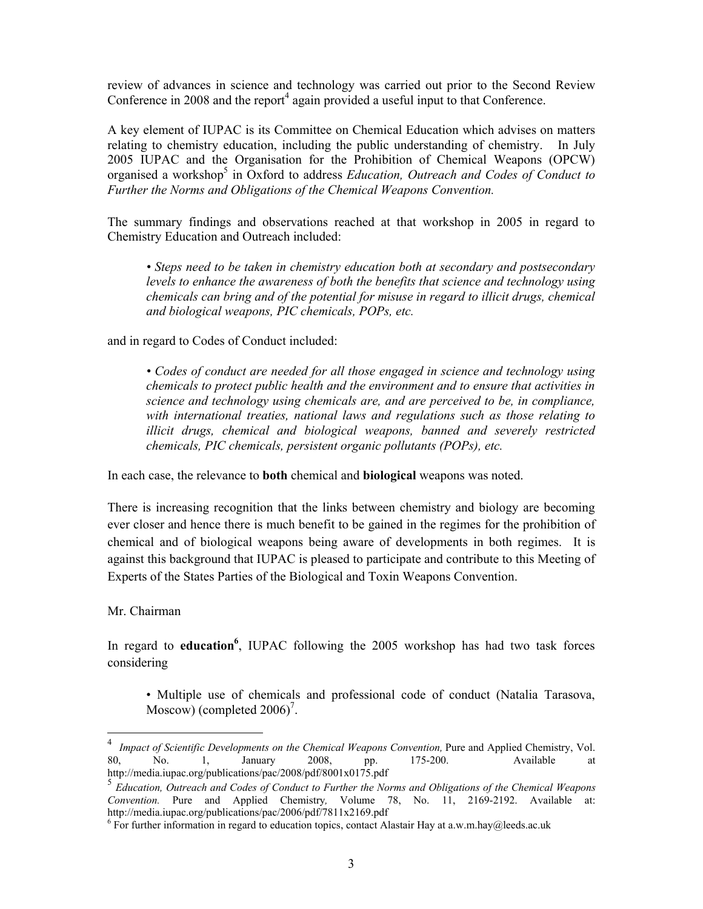review of advances in science and technology was carried out prior to the Second Review Conference in  $2008$  and the report<sup>4</sup> again provided a useful input to that Conference.

A key element of IUPAC is its Committee on Chemical Education which advises on matters relating to chemistry education, including the public understanding of chemistry. In July 2005 IUPAC and the Organisation for the Prohibition of Chemical Weapons (OPCW) organised a workshop<sup>5</sup> in Oxford to address *Education, Outreach and Codes of Conduct to Further the Norms and Obligations of the Chemical Weapons Convention.* 

The summary findings and observations reached at that workshop in 2005 in regard to Chemistry Education and Outreach included:

*• Steps need to be taken in chemistry education both at secondary and postsecondary levels to enhance the awareness of both the benefits that science and technology using chemicals can bring and of the potential for misuse in regard to illicit drugs, chemical and biological weapons, PIC chemicals, POPs, etc.* 

and in regard to Codes of Conduct included:

*• Codes of conduct are needed for all those engaged in science and technology using chemicals to protect public health and the environment and to ensure that activities in science and technology using chemicals are, and are perceived to be, in compliance, with international treaties, national laws and regulations such as those relating to illicit drugs, chemical and biological weapons, banned and severely restricted chemicals, PIC chemicals, persistent organic pollutants (POPs), etc.* 

In each case, the relevance to **both** chemical and **biological** weapons was noted.

There is increasing recognition that the links between chemistry and biology are becoming ever closer and hence there is much benefit to be gained in the regimes for the prohibition of chemical and of biological weapons being aware of developments in both regimes. It is against this background that IUPAC is pleased to participate and contribute to this Meeting of Experts of the States Parties of the Biological and Toxin Weapons Convention.

Mr. Chairman

 $\overline{a}$ 

In regard to **education**<sup>6</sup>, IUPAC following the 2005 workshop has had two task forces considering

• Multiple use of chemicals and professional code of conduct (Natalia Tarasova, Moscow) (completed  $2006$ <sup>7</sup>.

*Impact of Scientific Developments on the Chemical Weapons Convention, Pure and Applied Chemistry, Vol.* 80, No. 1, January 2008, pp. 175-200. Available at http://media.iupac.org/publications/pac/2008/pdf/8001x0175.pdf

<sup>5</sup> *Education, Outreach and Codes of Conduct to Further the Norms and Obligations of the Chemical Weapons Convention.* Pure and Applied Chemistry*,* Volume 78, No. 11, 2169-2192. Available at: http://media.iupac.org/publications/pac/2006/pdf/7811x2169.pdf

 $6$  For further information in regard to education topics, contact Alastair Hay at a.w.m.hay@leeds.ac.uk